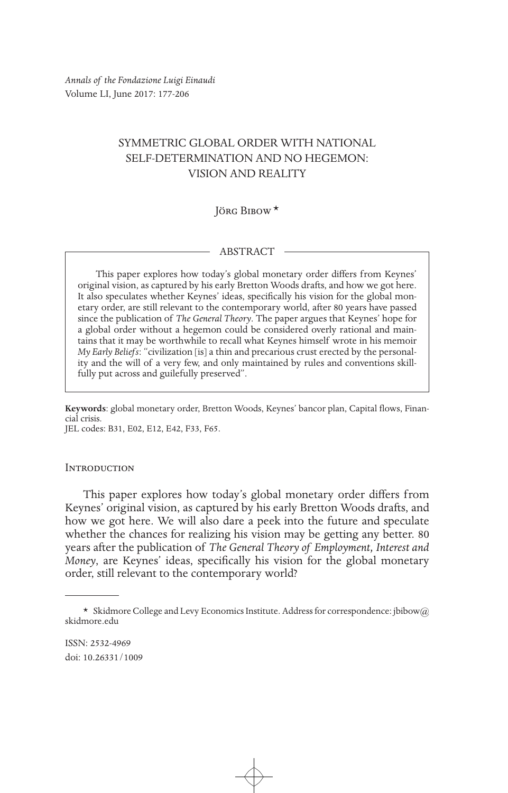*Annals of the Fondazione Luigi Einaudi* Volume LI, June 2017: 177-206

# SYMMETRIC GLOBAL ORDER WITH NATIONAL SELF-DETERMINATION AND NO HEGEMON: VISION AND REALITY

Jörg Bibow\*

#### ABSTRACT

This paper explores how today's global monetary order differs from Keynes' original vision, as captured by his early Bretton Woods drafts, and how we got here. It also speculates whether Keynes' ideas, specifically his vision for the global monetary order, are still relevant to the contemporary world, after 80 years have passed since the publication of *The General Theory*. The paper argues that Keynes' hope for a global order without a hegemon could be considered overly rational and maintains that it may be worthwhile to recall what Keynes himself wrote in his memoir *My Early Beliefs*: "civilization [is] a thin and precarious crust erected by the personality and the will of a very few, and only maintained by rules and conventions skillfully put across and guilefully preserved".

**Keywords**: global monetary order, Bretton Woods, Keynes' bancor plan, Capital flows, Financial crisis. JEL codes: B31, E02, E12, E42, F33, F65.

#### **INTRODUCTION**

This paper explores how today's global monetary order differs from Keynes' original vision, as captured by his early Bretton Woods drafts, and how we got here. We will also dare a peek into the future and speculate whether the chances for realizing his vision may be getting any better. 80 years after the publication of *The General Theory of Employment, Interest and Money*, are Keynes' ideas, specifically his vision for the global monetary order, still relevant to the contemporary world?

<sup>\*</sup> Skidmore College and Levy Economics Institute. Address for correspondence: jbibow@ skidmore.edu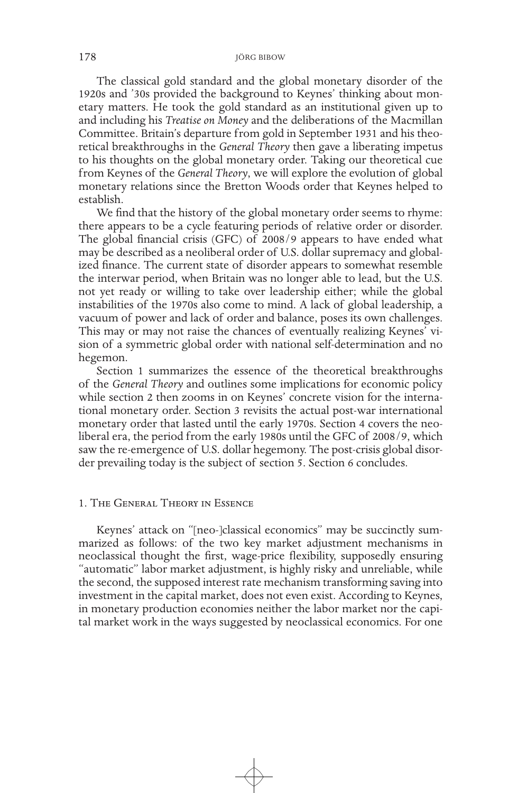The classical gold standard and the global monetary disorder of the 1920s and '30s provided the background to Keynes' thinking about monetary matters. He took the gold standard as an institutional given up to and including his *Treatise on Money* and the deliberations of the Macmillan Committee. Britain's departure from gold in September 1931 and his theoretical breakthroughs in the *General Theory* then gave a liberating impetus to his thoughts on the global monetary order. Taking our theoretical cue from Keynes of the *General Theory*, we will explore the evolution of global monetary relations since the Bretton Woods order that Keynes helped to establish.

We find that the history of the global monetary order seems to rhyme: there appears to be a cycle featuring periods of relative order or disorder. The global financial crisis (GFC) of 2008/9 appears to have ended what may be described as a neoliberal order of U.S. dollar supremacy and globalized finance. The current state of disorder appears to somewhat resemble the interwar period, when Britain was no longer able to lead, but the U.S. not yet ready or willing to take over leadership either; while the global instabilities of the 1970s also come to mind. A lack of global leadership, a vacuum of power and lack of order and balance, poses its own challenges. This may or may not raise the chances of eventually realizing Keynes' vision of a symmetric global order with national self-determination and no hegemon.

Section 1 summarizes the essence of the theoretical breakthroughs of the *General Theory* and outlines some implications for economic policy while section 2 then zooms in on Keynes' concrete vision for the international monetary order. Section 3 revisits the actual post-war international monetary order that lasted until the early 1970s. Section 4 covers the neoliberal era, the period from the early 1980s until the GFC of 2008/9, which saw the re-emergence of U.S. dollar hegemony. The post-crisis global disorder prevailing today is the subject of section 5. Section 6 concludes.

### 1. The General Theory in Essence

Keynes' attack on "[neo-]classical economics" may be succinctly summarized as follows: of the two key market adjustment mechanisms in neoclassical thought the first, wage-price flexibility, supposedly ensuring "automatic" labor market adjustment, is highly risky and unreliable, while the second, the supposed interest rate mechanism transforming saving into investment in the capital market, does not even exist. According to Keynes, in monetary production economies neither the labor market nor the capital market work in the ways suggested by neoclassical economics. For one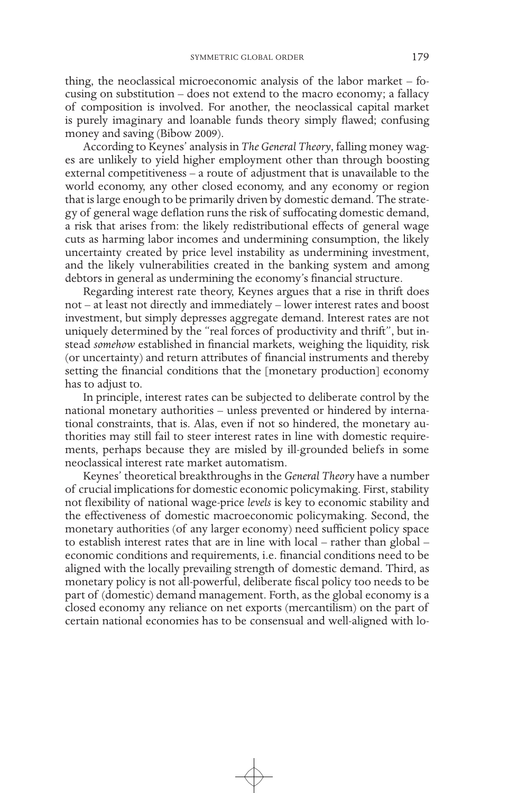thing, the neoclassical microeconomic analysis of the labor market – focusing on substitution – does not extend to the macro economy; a fallacy of composition is involved. For another, the neoclassical capital market is purely imaginary and loanable funds theory simply flawed; confusing money and saving (Bibow 2009).

According to Keynes' analysis in *The General Theory*, falling money wages are unlikely to yield higher employment other than through boosting external competitiveness – a route of adjustment that is unavailable to the world economy, any other closed economy, and any economy or region that is large enough to be primarily driven by domestic demand. The strategy of general wage deflation runs the risk of suffocating domestic demand, a risk that arises from: the likely redistributional effects of general wage cuts as harming labor incomes and undermining consumption, the likely uncertainty created by price level instability as undermining investment, and the likely vulnerabilities created in the banking system and among debtors in general as undermining the economy's financial structure.

Regarding interest rate theory, Keynes argues that a rise in thrift does not – at least not directly and immediately – lower interest rates and boost investment, but simply depresses aggregate demand. Interest rates are not uniquely determined by the "real forces of productivity and thrift", but instead *somehow* established in financial markets, weighing the liquidity, risk (or uncertainty) and return attributes of financial instruments and thereby setting the financial conditions that the [monetary production] economy has to adjust to.

In principle, interest rates can be subjected to deliberate control by the national monetary authorities – unless prevented or hindered by international constraints, that is. Alas, even if not so hindered, the monetary authorities may still fail to steer interest rates in line with domestic requirements, perhaps because they are misled by ill-grounded beliefs in some neoclassical interest rate market automatism.

Keynes' theoretical breakthroughs in the *General Theory* have a number of crucial implications for domestic economic policymaking. First, stability not flexibility of national wage-price *levels* is key to economic stability and the effectiveness of domestic macroeconomic policymaking. Second, the monetary authorities (of any larger economy) need sufficient policy space to establish interest rates that are in line with local – rather than global – economic conditions and requirements, i.e. financial conditions need to be aligned with the locally prevailing strength of domestic demand. Third, as monetary policy is not all-powerful, deliberate fiscal policy too needs to be part of (domestic) demand management. Forth, as the global economy is a closed economy any reliance on net exports (mercantilism) on the part of certain national economies has to be consensual and well-aligned with lo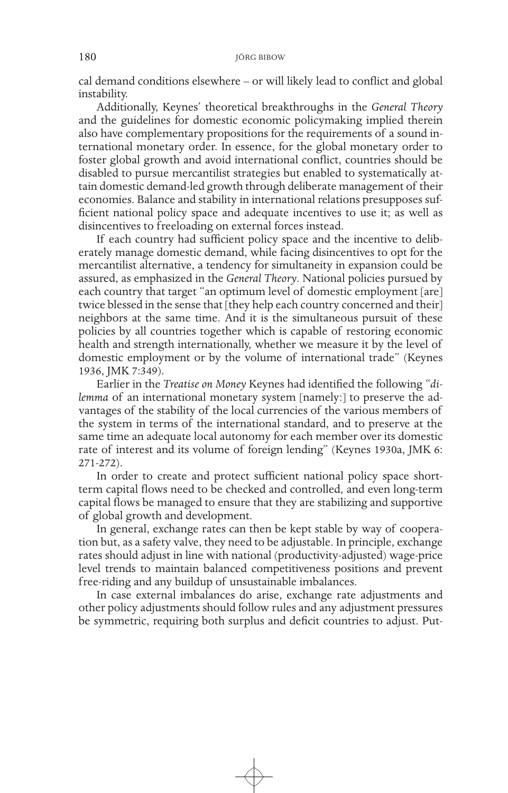cal demand conditions elsewhere – or will likely lead to conflict and global instability.

Additionally, Keynes' theoretical breakthroughs in the *General Theory* and the guidelines for domestic economic policymaking implied therein also have complementary propositions for the requirements of a sound international monetary order. In essence, for the global monetary order to foster global growth and avoid international conflict, countries should be disabled to pursue mercantilist strategies but enabled to systematically attain domestic demand-led growth through deliberate management of their economies. Balance and stability in international relations presupposes sufficient national policy space and adequate incentives to use it; as well as disincentives to freeloading on external forces instead.

If each country had sufficient policy space and the incentive to deliberately manage domestic demand, while facing disincentives to opt for the mercantilist alternative, a tendency for simultaneity in expansion could be assured, as emphasized in the *General Theory*. National policies pursued by each country that target "an optimum level of domestic employment [are] twice blessed in the sense that [they help each country concerned and their] neighbors at the same time. And it is the simultaneous pursuit of these policies by all countries together which is capable of restoring economic health and strength internationally, whether we measure it by the level of domestic employment or by the volume of international trade" (Keynes 1936, JMK 7:349).

Earlier in the *Treatise on Money* Keynes had identified the following "*dilemma* of an international monetary system [namely:] to preserve the advantages of the stability of the local currencies of the various members of the system in terms of the international standard, and to preserve at the same time an adequate local autonomy for each member over its domestic rate of interest and its volume of foreign lending" (Keynes 1930a, JMK 6: 271-272).

In order to create and protect sufficient national policy space shortterm capital flows need to be checked and controlled, and even long-term capital flows be managed to ensure that they are stabilizing and supportive of global growth and development.

In general, exchange rates can then be kept stable by way of cooperation but, as a safety valve, they need to be adjustable. In principle, exchange rates should adjust in line with national (productivity-adjusted) wage-price level trends to maintain balanced competitiveness positions and prevent free-riding and any buildup of unsustainable imbalances.

In case external imbalances do arise, exchange rate adjustments and other policy adjustments should follow rules and any adjustment pressures be symmetric, requiring both surplus and deficit countries to adjust. Put-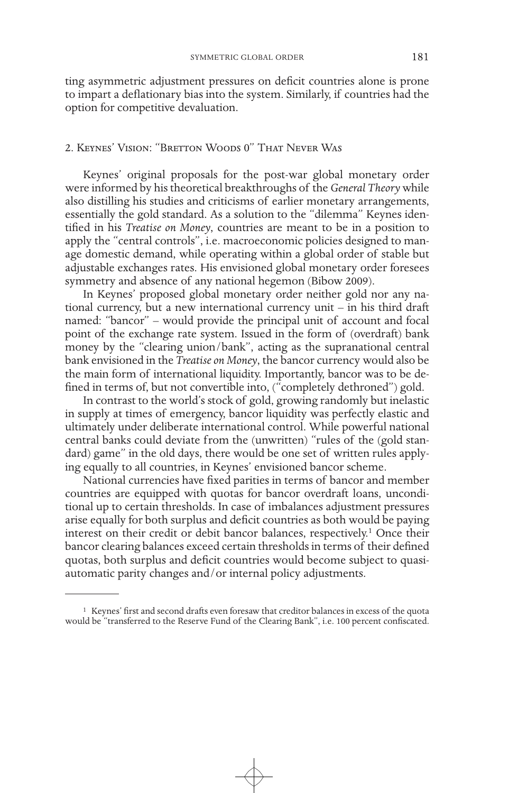ting asymmetric adjustment pressures on deficit countries alone is prone to impart a deflationary bias into the system. Similarly, if countries had the option for competitive devaluation.

# 2. Keynes' Vision: "Bretton Woods 0" That Never Was

Keynes' original proposals for the post-war global monetary order were informed by his theoretical breakthroughs of the *General Theory* while also distilling his studies and criticisms of earlier monetary arrangements, essentially the gold standard. As a solution to the "dilemma" Keynes identified in his *Treatise on Money*, countries are meant to be in a position to apply the "central controls", i.e. macroeconomic policies designed to manage domestic demand, while operating within a global order of stable but adjustable exchanges rates. His envisioned global monetary order foresees symmetry and absence of any national hegemon (Bibow 2009).

In Keynes' proposed global monetary order neither gold nor any national currency, but a new international currency unit – in his third draft named: "bancor" – would provide the principal unit of account and focal point of the exchange rate system. Issued in the form of (overdraft) bank money by the "clearing union/bank", acting as the supranational central bank envisioned in the *Treatise on Money*, the bancor currency would also be the main form of international liquidity. Importantly, bancor was to be defined in terms of, but not convertible into, ("completely dethroned") gold.

In contrast to the world's stock of gold, growing randomly but inelastic in supply at times of emergency, bancor liquidity was perfectly elastic and ultimately under deliberate international control. While powerful national central banks could deviate from the (unwritten) "rules of the (gold standard) game" in the old days, there would be one set of written rules applying equally to all countries, in Keynes' envisioned bancor scheme.

National currencies have fixed parities in terms of bancor and member countries are equipped with quotas for bancor overdraft loans, unconditional up to certain thresholds. In case of imbalances adjustment pressures arise equally for both surplus and deficit countries as both would be paying interest on their credit or debit bancor balances, respectively.<sup>1</sup> Once their bancor clearing balances exceed certain thresholds in terms of their defined quotas, both surplus and deficit countries would become subject to quasiautomatic parity changes and/or internal policy adjustments.

<sup>1</sup> Keynes' first and second drafts even foresaw that creditor balances in excess of the quota would be "transferred to the Reserve Fund of the Clearing Bank", i.e. 100 percent confiscated.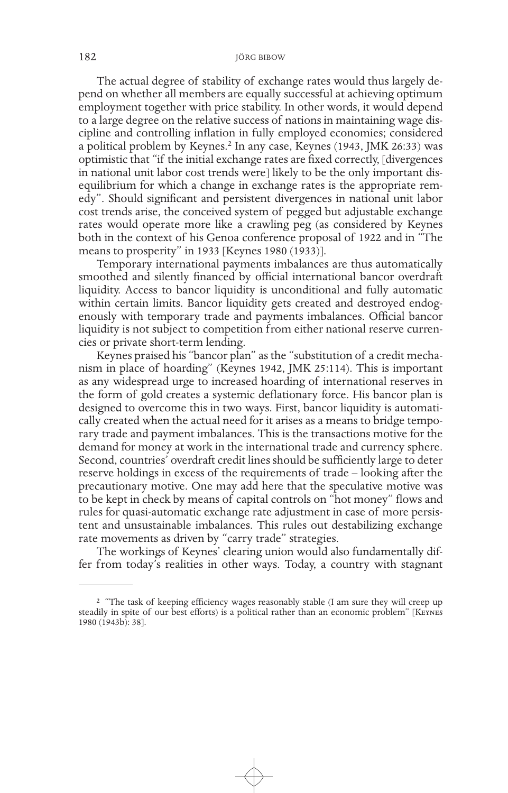The actual degree of stability of exchange rates would thus largely depend on whether all members are equally successful at achieving optimum employment together with price stability. In other words, it would depend to a large degree on the relative success of nations in maintaining wage discipline and controlling inflation in fully employed economies; considered a political problem by Keynes.<sup>2</sup> In any case, Keynes (1943, JMK 26:33) was optimistic that "if the initial exchange rates are fixed correctly, [divergences in national unit labor cost trends were] likely to be the only important disequilibrium for which a change in exchange rates is the appropriate remedy". Should significant and persistent divergences in national unit labor cost trends arise, the conceived system of pegged but adjustable exchange rates would operate more like a crawling peg (as considered by Keynes both in the context of his Genoa conference proposal of 1922 and in "The means to prosperity" in 1933 [Keynes 1980 (1933)].

Temporary international payments imbalances are thus automatically smoothed and silently financed by official international bancor overdraft liquidity. Access to bancor liquidity is unconditional and fully automatic within certain limits. Bancor liquidity gets created and destroyed endogenously with temporary trade and payments imbalances. Official bancor liquidity is not subject to competition from either national reserve currencies or private short-term lending.

Keynes praised his "bancor plan" as the "substitution of a credit mechanism in place of hoarding" (Keynes 1942, JMK 25:114). This is important as any widespread urge to increased hoarding of international reserves in the form of gold creates a systemic deflationary force. His bancor plan is designed to overcome this in two ways. First, bancor liquidity is automatically created when the actual need for it arises as a means to bridge temporary trade and payment imbalances. This is the transactions motive for the demand for money at work in the international trade and currency sphere. Second, countries' overdraft credit lines should be sufficiently large to deter reserve holdings in excess of the requirements of trade – looking after the precautionary motive. One may add here that the speculative motive was to be kept in check by means of capital controls on "hot money" flows and rules for quasi-automatic exchange rate adjustment in case of more persistent and unsustainable imbalances. This rules out destabilizing exchange rate movements as driven by "carry trade" strategies.

The workings of Keynes' clearing union would also fundamentally differ from today's realities in other ways. Today, a country with stagnant

<sup>&</sup>lt;sup>2</sup> "The task of keeping efficiency wages reasonably stable (I am sure they will creep up steadily in spite of our best efforts) is a political rather than an economic problem" [Keynes 1980 (1943b): 38].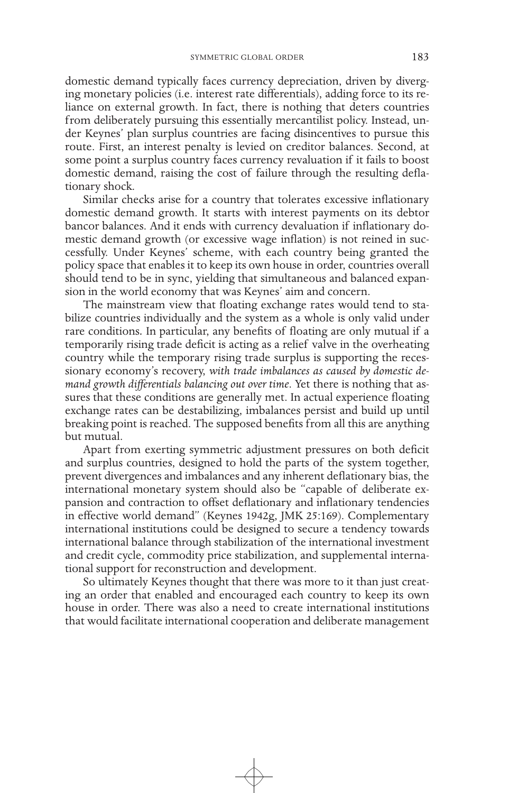domestic demand typically faces currency depreciation, driven by diverging monetary policies (i.e. interest rate differentials), adding force to its reliance on external growth. In fact, there is nothing that deters countries from deliberately pursuing this essentially mercantilist policy. Instead, under Keynes' plan surplus countries are facing disincentives to pursue this route. First, an interest penalty is levied on creditor balances. Second, at some point a surplus country faces currency revaluation if it fails to boost domestic demand, raising the cost of failure through the resulting deflationary shock.

Similar checks arise for a country that tolerates excessive inflationary domestic demand growth. It starts with interest payments on its debtor bancor balances. And it ends with currency devaluation if inflationary domestic demand growth (or excessive wage inflation) is not reined in successfully. Under Keynes' scheme, with each country being granted the policy space that enables it to keep its own house in order, countries overall should tend to be in sync, yielding that simultaneous and balanced expansion in the world economy that was Keynes' aim and concern.

The mainstream view that floating exchange rates would tend to stabilize countries individually and the system as a whole is only valid under rare conditions*.* In particular, any benefits of floating are only mutual if a temporarily rising trade deficit is acting as a relief valve in the overheating country while the temporary rising trade surplus is supporting the recessionary economy's recovery, *with trade imbalances as caused by domestic demand growth differentials balancing out over time*. Yet there is nothing that assures that these conditions are generally met. In actual experience floating exchange rates can be destabilizing, imbalances persist and build up until breaking point is reached. The supposed benefits from all this are anything but mutual.

Apart from exerting symmetric adjustment pressures on both deficit and surplus countries, designed to hold the parts of the system together, prevent divergences and imbalances and any inherent deflationary bias, the international monetary system should also be "capable of deliberate expansion and contraction to offset deflationary and inflationary tendencies in effective world demand" (Keynes 1942g, JMK 25:169). Complementary international institutions could be designed to secure a tendency towards international balance through stabilization of the international investment and credit cycle, commodity price stabilization, and supplemental international support for reconstruction and development.

So ultimately Keynes thought that there was more to it than just creating an order that enabled and encouraged each country to keep its own house in order. There was also a need to create international institutions that would facilitate international cooperation and deliberate management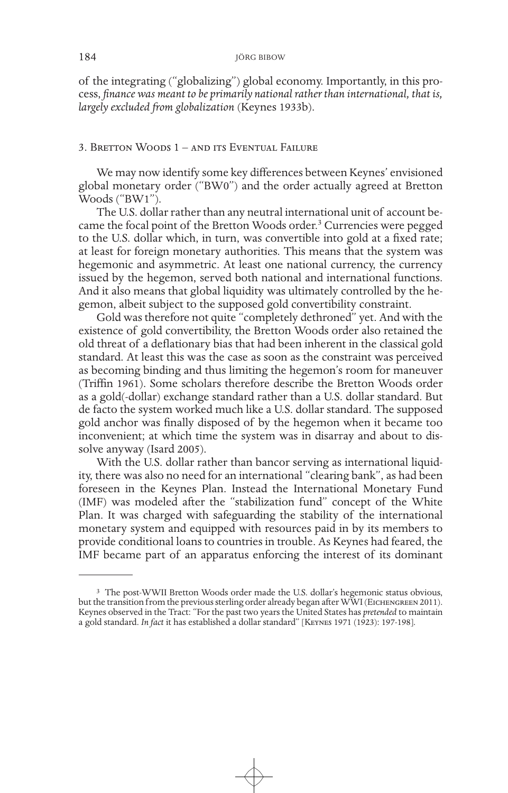of the integrating ("globalizing") global economy. Importantly, in this process, *finance was meant to be primarily national rather than international, that is, largely excluded from globalization* (Keynes 1933b).

# 3. Bretton Woods 1 – and its Eventual Failure

We may now identify some key differences between Keynes' envisioned global monetary order ("BW0") and the order actually agreed at Bretton Woods ("BW1").

The U.S. dollar rather than any neutral international unit of account became the focal point of the Bretton Woods order.<sup>3</sup> Currencies were pegged to the U.S. dollar which, in turn, was convertible into gold at a fixed rate; at least for foreign monetary authorities. This means that the system was hegemonic and asymmetric. At least one national currency, the currency issued by the hegemon, served both national and international functions. And it also means that global liquidity was ultimately controlled by the hegemon, albeit subject to the supposed gold convertibility constraint.

Gold was therefore not quite "completely dethroned" yet. And with the existence of gold convertibility, the Bretton Woods order also retained the old threat of a deflationary bias that had been inherent in the classical gold standard. At least this was the case as soon as the constraint was perceived as becoming binding and thus limiting the hegemon's room for maneuver (Triffin 1961). Some scholars therefore describe the Bretton Woods order as a gold(-dollar) exchange standard rather than a U.S. dollar standard. But de facto the system worked much like a U.S. dollar standard. The supposed gold anchor was finally disposed of by the hegemon when it became too inconvenient; at which time the system was in disarray and about to dissolve anyway (Isard 2005).

With the U.S. dollar rather than bancor serving as international liquidity, there was also no need for an international "clearing bank", as had been foreseen in the Keynes Plan. Instead the International Monetary Fund (IMF) was modeled after the "stabilization fund" concept of the White Plan. It was charged with safeguarding the stability of the international monetary system and equipped with resources paid in by its members to provide conditional loans to countries in trouble. As Keynes had feared, the IMF became part of an apparatus enforcing the interest of its dominant

<sup>&</sup>lt;sup>3</sup> The post-WWII Bretton Woods order made the U.S. dollar's hegemonic status obvious, but the transition from the previous sterling order already began after WWI (EICHENGREEN 2011). Keynes observed in the Tract: "For the past two years the United States has *pretended* to maintain a gold standard. *In fact* it has established a dollar standard" [Keynes 1971 (1923): 197-198].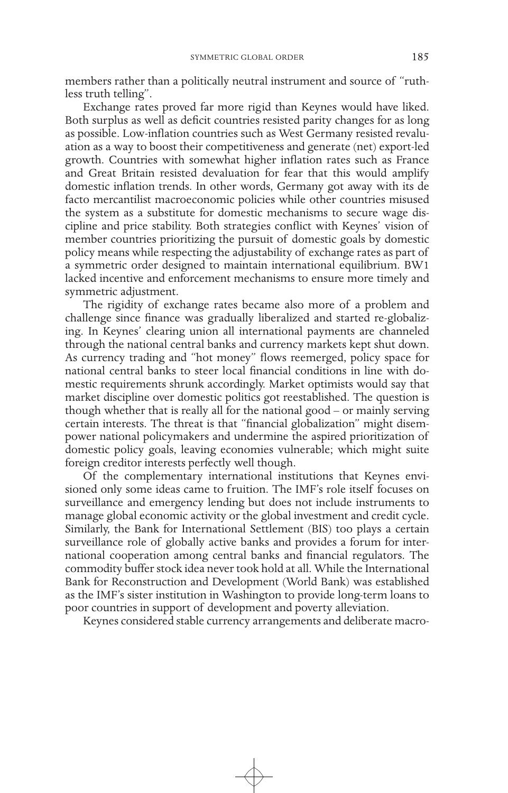members rather than a politically neutral instrument and source of "ruthless truth telling".

Exchange rates proved far more rigid than Keynes would have liked. Both surplus as well as deficit countries resisted parity changes for as long as possible. Low-inflation countries such as West Germany resisted revaluation as a way to boost their competitiveness and generate (net) export-led growth. Countries with somewhat higher inflation rates such as France and Great Britain resisted devaluation for fear that this would amplify domestic inflation trends. In other words, Germany got away with its de facto mercantilist macroeconomic policies while other countries misused the system as a substitute for domestic mechanisms to secure wage discipline and price stability. Both strategies conflict with Keynes' vision of member countries prioritizing the pursuit of domestic goals by domestic policy means while respecting the adjustability of exchange rates as part of a symmetric order designed to maintain international equilibrium. BW1 lacked incentive and enforcement mechanisms to ensure more timely and symmetric adjustment.

The rigidity of exchange rates became also more of a problem and challenge since finance was gradually liberalized and started re-globalizing. In Keynes' clearing union all international payments are channeled through the national central banks and currency markets kept shut down. As currency trading and "hot money" flows reemerged, policy space for national central banks to steer local financial conditions in line with domestic requirements shrunk accordingly. Market optimists would say that market discipline over domestic politics got reestablished. The question is though whether that is really all for the national good – or mainly serving certain interests. The threat is that "financial globalization" might disempower national policymakers and undermine the aspired prioritization of domestic policy goals, leaving economies vulnerable; which might suite foreign creditor interests perfectly well though.

Of the complementary international institutions that Keynes envisioned only some ideas came to fruition. The IMF's role itself focuses on surveillance and emergency lending but does not include instruments to manage global economic activity or the global investment and credit cycle. Similarly, the Bank for International Settlement (BIS) too plays a certain surveillance role of globally active banks and provides a forum for international cooperation among central banks and financial regulators. The commodity buffer stock idea never took hold at all. While the International Bank for Reconstruction and Development (World Bank) was established as the IMF's sister institution in Washington to provide long-term loans to poor countries in support of development and poverty alleviation.

Keynes considered stable currency arrangements and deliberate macro-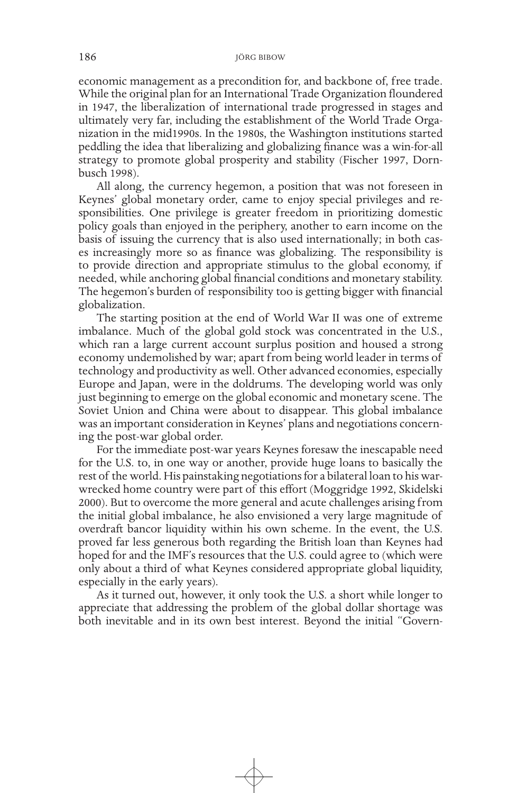economic management as a precondition for, and backbone of, free trade. While the original plan for an International Trade Organization floundered in 1947, the liberalization of international trade progressed in stages and ultimately very far, including the establishment of the World Trade Organization in the mid1990s. In the 1980s, the Washington institutions started peddling the idea that liberalizing and globalizing finance was a win-for-all strategy to promote global prosperity and stability (Fischer 1997, Dornbusch 1998).

All along, the currency hegemon, a position that was not foreseen in Keynes' global monetary order, came to enjoy special privileges and responsibilities. One privilege is greater freedom in prioritizing domestic policy goals than enjoyed in the periphery, another to earn income on the basis of issuing the currency that is also used internationally; in both cases increasingly more so as finance was globalizing. The responsibility is to provide direction and appropriate stimulus to the global economy, if needed, while anchoring global financial conditions and monetary stability. The hegemon's burden of responsibility too is getting bigger with financial globalization.

The starting position at the end of World War II was one of extreme imbalance. Much of the global gold stock was concentrated in the U.S., which ran a large current account surplus position and housed a strong economy undemolished by war; apart from being world leader in terms of technology and productivity as well. Other advanced economies, especially Europe and Japan, were in the doldrums. The developing world was only just beginning to emerge on the global economic and monetary scene. The Soviet Union and China were about to disappear. This global imbalance was an important consideration in Keynes' plans and negotiations concerning the post-war global order.

For the immediate post-war years Keynes foresaw the inescapable need for the U.S. to, in one way or another, provide huge loans to basically the rest of the world. His painstaking negotiations for a bilateral loan to his warwrecked home country were part of this effort (Moggridge 1992, Skidelski 2000). But to overcome the more general and acute challenges arising from the initial global imbalance, he also envisioned a very large magnitude of overdraft bancor liquidity within his own scheme. In the event, the U.S. proved far less generous both regarding the British loan than Keynes had hoped for and the IMF's resources that the U.S. could agree to (which were only about a third of what Keynes considered appropriate global liquidity, especially in the early years).

As it turned out, however, it only took the U.S. a short while longer to appreciate that addressing the problem of the global dollar shortage was both inevitable and in its own best interest. Beyond the initial "Govern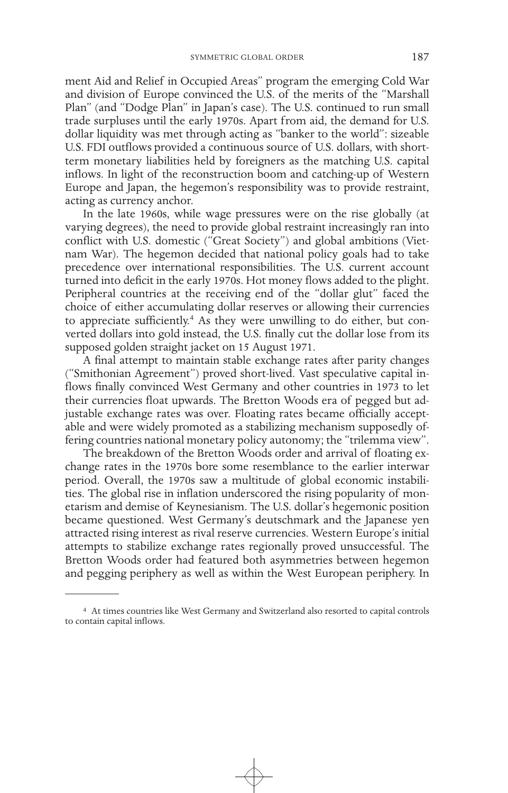ment Aid and Relief in Occupied Areas" program the emerging Cold War and division of Europe convinced the U.S. of the merits of the "Marshall Plan" (and "Dodge Plan" in Japan's case). The U.S. continued to run small trade surpluses until the early 1970s. Apart from aid, the demand for U.S. dollar liquidity was met through acting as "banker to the world": sizeable U.S. FDI outflows provided a continuous source of U.S. dollars, with shortterm monetary liabilities held by foreigners as the matching U.S. capital inflows. In light of the reconstruction boom and catching-up of Western Europe and Japan, the hegemon's responsibility was to provide restraint, acting as currency anchor.

In the late 1960s, while wage pressures were on the rise globally (at varying degrees), the need to provide global restraint increasingly ran into conflict with U.S. domestic ("Great Society") and global ambitions (Vietnam War). The hegemon decided that national policy goals had to take precedence over international responsibilities. The U.S. current account turned into deficit in the early 1970s. Hot money flows added to the plight. Peripheral countries at the receiving end of the "dollar glut" faced the choice of either accumulating dollar reserves or allowing their currencies to appreciate sufficiently.4 As they were unwilling to do either, but converted dollars into gold instead, the U.S. finally cut the dollar lose from its supposed golden straight jacket on 15 August 1971.

A final attempt to maintain stable exchange rates after parity changes ("Smithonian Agreement") proved short-lived. Vast speculative capital inflows finally convinced West Germany and other countries in 1973 to let their currencies float upwards. The Bretton Woods era of pegged but adjustable exchange rates was over. Floating rates became officially acceptable and were widely promoted as a stabilizing mechanism supposedly offering countries national monetary policy autonomy; the "trilemma view".

The breakdown of the Bretton Woods order and arrival of floating exchange rates in the 1970s bore some resemblance to the earlier interwar period. Overall, the 1970s saw a multitude of global economic instabilities. The global rise in inflation underscored the rising popularity of monetarism and demise of Keynesianism. The U.S. dollar's hegemonic position became questioned. West Germany's deutschmark and the Japanese yen attracted rising interest as rival reserve currencies. Western Europe's initial attempts to stabilize exchange rates regionally proved unsuccessful. The Bretton Woods order had featured both asymmetries between hegemon and pegging periphery as well as within the West European periphery. In

<sup>4</sup> At times countries like West Germany and Switzerland also resorted to capital controls to contain capital inflows.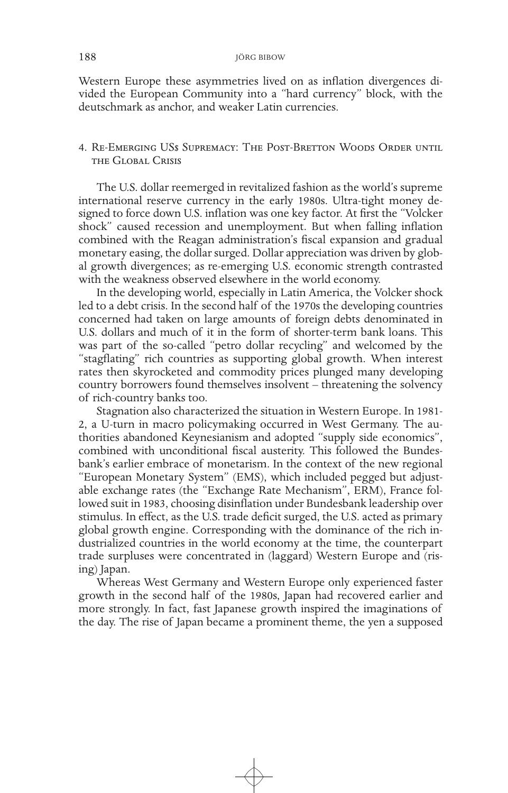Western Europe these asymmetries lived on as inflation divergences divided the European Community into a "hard currency" block, with the deutschmark as anchor, and weaker Latin currencies.

# 4. Re-Emerging US\$ Supremacy: The Post-Bretton Woods Order until the Global Crisis

The U.S. dollar reemerged in revitalized fashion as the world's supreme international reserve currency in the early 1980s. Ultra-tight money designed to force down U.S. inflation was one key factor. At first the "Volcker shock" caused recession and unemployment. But when falling inflation combined with the Reagan administration's fiscal expansion and gradual monetary easing, the dollar surged. Dollar appreciation was driven by global growth divergences; as re-emerging U.S. economic strength contrasted with the weakness observed elsewhere in the world economy.

In the developing world, especially in Latin America, the Volcker shock led to a debt crisis. In the second half of the 1970s the developing countries concerned had taken on large amounts of foreign debts denominated in U.S. dollars and much of it in the form of shorter-term bank loans. This was part of the so-called "petro dollar recycling" and welcomed by the "stagflating" rich countries as supporting global growth. When interest rates then skyrocketed and commodity prices plunged many developing country borrowers found themselves insolvent – threatening the solvency of rich-country banks too.

Stagnation also characterized the situation in Western Europe. In 1981- 2, a U-turn in macro policymaking occurred in West Germany. The authorities abandoned Keynesianism and adopted "supply side economics", combined with unconditional fiscal austerity. This followed the Bundesbank's earlier embrace of monetarism. In the context of the new regional "European Monetary System" (EMS), which included pegged but adjustable exchange rates (the "Exchange Rate Mechanism", ERM), France followed suit in 1983, choosing disinflation under Bundesbank leadership over stimulus. In effect, as the U.S. trade deficit surged, the U.S. acted as primary global growth engine. Corresponding with the dominance of the rich industrialized countries in the world economy at the time, the counterpart trade surpluses were concentrated in (laggard) Western Europe and (rising) Japan.

Whereas West Germany and Western Europe only experienced faster growth in the second half of the 1980s, Japan had recovered earlier and more strongly. In fact, fast Japanese growth inspired the imaginations of the day. The rise of Japan became a prominent theme, the yen a supposed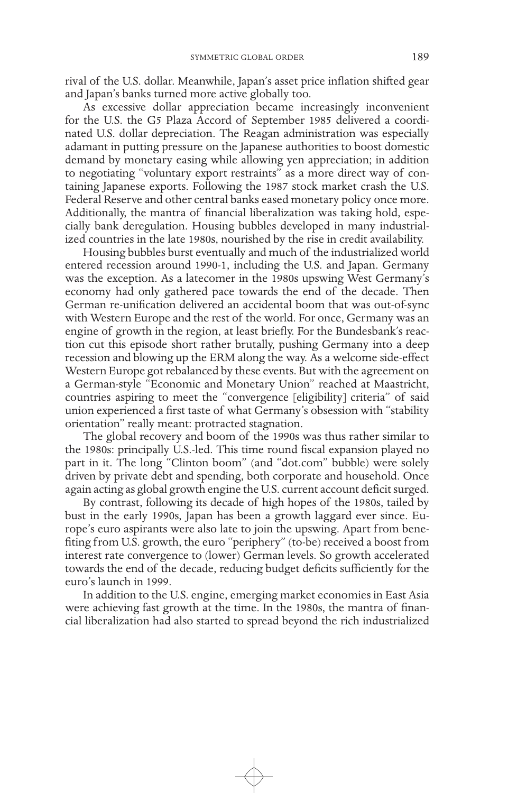rival of the U.S. dollar. Meanwhile, Japan's asset price inflation shifted gear and Japan's banks turned more active globally too.

As excessive dollar appreciation became increasingly inconvenient for the U.S. the G5 Plaza Accord of September 1985 delivered a coordinated U.S. dollar depreciation. The Reagan administration was especially adamant in putting pressure on the Japanese authorities to boost domestic demand by monetary easing while allowing yen appreciation; in addition to negotiating "voluntary export restraints" as a more direct way of containing Japanese exports. Following the 1987 stock market crash the U.S. Federal Reserve and other central banks eased monetary policy once more. Additionally, the mantra of financial liberalization was taking hold, especially bank deregulation. Housing bubbles developed in many industrialized countries in the late 1980s, nourished by the rise in credit availability.

Housing bubbles burst eventually and much of the industrialized world entered recession around 1990-1, including the U.S. and Japan. Germany was the exception. As a latecomer in the 1980s upswing West Germany's economy had only gathered pace towards the end of the decade. Then German re-unification delivered an accidental boom that was out-of-sync with Western Europe and the rest of the world. For once, Germany was an engine of growth in the region, at least briefly. For the Bundesbank's reaction cut this episode short rather brutally, pushing Germany into a deep recession and blowing up the ERM along the way. As a welcome side-effect Western Europe got rebalanced by these events. But with the agreement on a German-style "Economic and Monetary Union" reached at Maastricht, countries aspiring to meet the "convergence [eligibility] criteria" of said union experienced a first taste of what Germany's obsession with "stability orientation" really meant: protracted stagnation.

The global recovery and boom of the 1990s was thus rather similar to the 1980s: principally U.S.-led. This time round fiscal expansion played no part in it. The long "Clinton boom" (and "dot.com" bubble) were solely driven by private debt and spending, both corporate and household. Once again acting as global growth engine the U.S. current account deficit surged.

By contrast, following its decade of high hopes of the 1980s, tailed by bust in the early 1990s, Japan has been a growth laggard ever since. Europe's euro aspirants were also late to join the upswing. Apart from benefiting from U.S. growth, the euro "periphery" (to-be) received a boost from interest rate convergence to (lower) German levels. So growth accelerated towards the end of the decade, reducing budget deficits sufficiently for the euro's launch in 1999.

In addition to the U.S. engine, emerging market economies in East Asia were achieving fast growth at the time. In the 1980s, the mantra of financial liberalization had also started to spread beyond the rich industrialized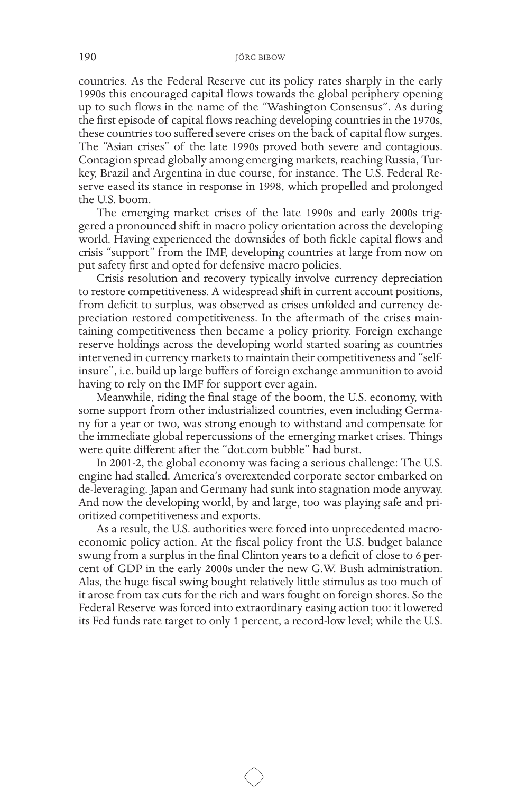countries. As the Federal Reserve cut its policy rates sharply in the early 1990s this encouraged capital flows towards the global periphery opening up to such flows in the name of the "Washington Consensus". As during the first episode of capital flows reaching developing countries in the 1970s, these countries too suffered severe crises on the back of capital flow surges. The "Asian crises" of the late 1990s proved both severe and contagious. Contagion spread globally among emerging markets, reaching Russia, Turkey, Brazil and Argentina in due course, for instance. The U.S. Federal Reserve eased its stance in response in 1998, which propelled and prolonged the U.S. boom.

The emerging market crises of the late 1990s and early 2000s triggered a pronounced shift in macro policy orientation across the developing world. Having experienced the downsides of both fickle capital flows and crisis "support" from the IMF, developing countries at large from now on put safety first and opted for defensive macro policies.

Crisis resolution and recovery typically involve currency depreciation to restore competitiveness. A widespread shift in current account positions, from deficit to surplus, was observed as crises unfolded and currency depreciation restored competitiveness. In the aftermath of the crises maintaining competitiveness then became a policy priority. Foreign exchange reserve holdings across the developing world started soaring as countries intervened in currency markets to maintain their competitiveness and "selfinsure", i.e. build up large buffers of foreign exchange ammunition to avoid having to rely on the IMF for support ever again.

Meanwhile, riding the final stage of the boom, the U.S. economy, with some support from other industrialized countries, even including Germany for a year or two, was strong enough to withstand and compensate for the immediate global repercussions of the emerging market crises. Things were quite different after the "dot.com bubble" had burst.

In 2001-2, the global economy was facing a serious challenge: The U.S. engine had stalled. America's overextended corporate sector embarked on de-leveraging. Japan and Germany had sunk into stagnation mode anyway. And now the developing world, by and large, too was playing safe and prioritized competitiveness and exports.

As a result, the U.S. authorities were forced into unprecedented macroeconomic policy action. At the fiscal policy front the U.S. budget balance swung from a surplus in the final Clinton years to a deficit of close to 6 percent of GDP in the early 2000s under the new G.W. Bush administration. Alas, the huge fiscal swing bought relatively little stimulus as too much of it arose from tax cuts for the rich and wars fought on foreign shores. So the Federal Reserve was forced into extraordinary easing action too: it lowered its Fed funds rate target to only 1 percent, a record-low level; while the U.S.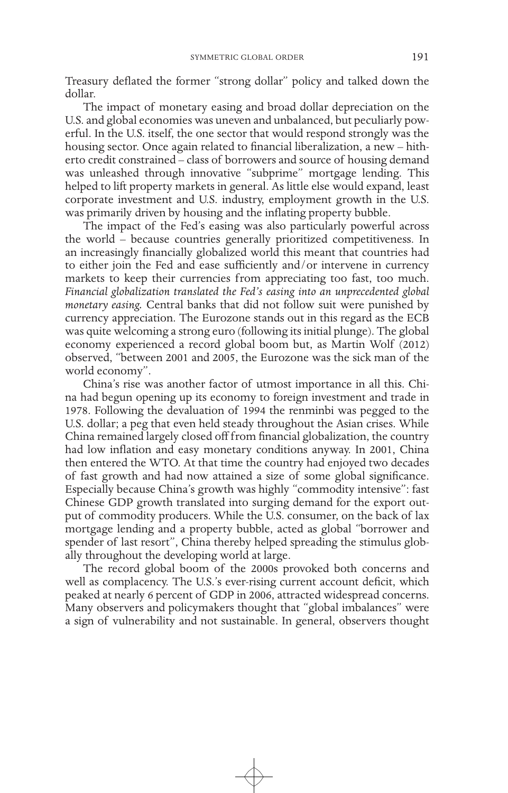Treasury deflated the former "strong dollar" policy and talked down the dollar.

The impact of monetary easing and broad dollar depreciation on the U.S. and global economies was uneven and unbalanced, but peculiarly powerful. In the U.S. itself, the one sector that would respond strongly was the housing sector. Once again related to financial liberalization, a new – hitherto credit constrained – class of borrowers and source of housing demand was unleashed through innovative "subprime" mortgage lending. This helped to lift property markets in general. As little else would expand, least corporate investment and U.S. industry, employment growth in the U.S. was primarily driven by housing and the inflating property bubble.

The impact of the Fed's easing was also particularly powerful across the world – because countries generally prioritized competitiveness. In an increasingly financially globalized world this meant that countries had to either join the Fed and ease sufficiently and/or intervene in currency markets to keep their currencies from appreciating too fast, too much. *Financial globalization translated the Fed's easing into an unprecedented global monetary easing.* Central banks that did not follow suit were punished by currency appreciation. The Eurozone stands out in this regard as the ECB was quite welcoming a strong euro (following its initial plunge). The global economy experienced a record global boom but, as Martin Wolf (2012) observed, "between 2001 and 2005, the Eurozone was the sick man of the world economy".

China's rise was another factor of utmost importance in all this. China had begun opening up its economy to foreign investment and trade in 1978. Following the devaluation of 1994 the renminbi was pegged to the U.S. dollar; a peg that even held steady throughout the Asian crises. While China remained largely closed off from financial globalization, the country had low inflation and easy monetary conditions anyway. In 2001, China then entered the WTO. At that time the country had enjoyed two decades of fast growth and had now attained a size of some global significance. Especially because China's growth was highly "commodity intensive": fast Chinese GDP growth translated into surging demand for the export output of commodity producers. While the U.S. consumer, on the back of lax mortgage lending and a property bubble, acted as global "borrower and spender of last resort", China thereby helped spreading the stimulus globally throughout the developing world at large.

The record global boom of the 2000s provoked both concerns and well as complacency. The U.S.'s ever-rising current account deficit, which peaked at nearly 6 percent of GDP in 2006, attracted widespread concerns. Many observers and policymakers thought that "global imbalances" were a sign of vulnerability and not sustainable. In general, observers thought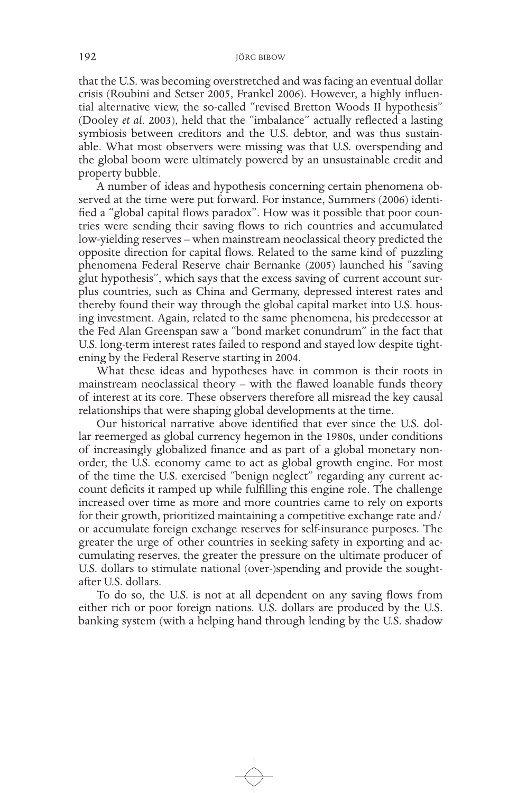that the U.S. was becoming overstretched and was facing an eventual dollar crisis (Roubini and Setser 2005, Frankel 2006). However, a highly influential alternative view, the so-called "revised Bretton Woods II hypothesis" (Dooley *et al*. 2003), held that the "imbalance" actually reflected a lasting symbiosis between creditors and the U.S. debtor, and was thus sustainable. What most observers were missing was that U.S. overspending and the global boom were ultimately powered by an unsustainable credit and property bubble.

A number of ideas and hypothesis concerning certain phenomena observed at the time were put forward. For instance, Summers (2006) identified a "global capital flows paradox". How was it possible that poor countries were sending their saving flows to rich countries and accumulated low-yielding reserves – when mainstream neoclassical theory predicted the opposite direction for capital flows. Related to the same kind of puzzling phenomena Federal Reserve chair Bernanke (2005) launched his "saving glut hypothesis", which says that the excess saving of current account surplus countries, such as China and Germany, depressed interest rates and thereby found their way through the global capital market into U.S. housing investment. Again, related to the same phenomena, his predecessor at the Fed Alan Greenspan saw a "bond market conundrum" in the fact that U.S. long-term interest rates failed to respond and stayed low despite tightening by the Federal Reserve starting in 2004.

What these ideas and hypotheses have in common is their roots in mainstream neoclassical theory – with the flawed loanable funds theory of interest at its core. These observers therefore all misread the key causal relationships that were shaping global developments at the time.

Our historical narrative above identified that ever since the U.S. dollar reemerged as global currency hegemon in the 1980s, under conditions of increasingly globalized finance and as part of a global monetary nonorder, the U.S. economy came to act as global growth engine. For most of the time the U.S. exercised "benign neglect" regarding any current account deficits it ramped up while fulfilling this engine role. The challenge increased over time as more and more countries came to rely on exports for their growth, prioritized maintaining a competitive exchange rate and/ or accumulate foreign exchange reserves for self-insurance purposes. The greater the urge of other countries in seeking safety in exporting and accumulating reserves, the greater the pressure on the ultimate producer of U.S. dollars to stimulate national (over-)spending and provide the soughtafter U.S. dollars.

To do so, the U.S. is not at all dependent on any saving flows from either rich or poor foreign nations. U.S. dollars are produced by the U.S. banking system (with a helping hand through lending by the U.S. shadow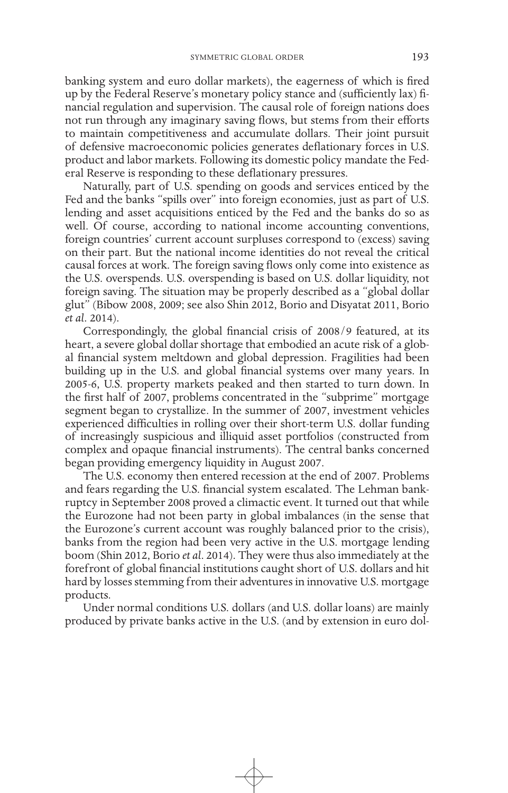banking system and euro dollar markets), the eagerness of which is fired up by the Federal Reserve's monetary policy stance and (sufficiently lax) financial regulation and supervision. The causal role of foreign nations does not run through any imaginary saving flows, but stems from their efforts to maintain competitiveness and accumulate dollars. Their joint pursuit of defensive macroeconomic policies generates deflationary forces in U.S. product and labor markets. Following its domestic policy mandate the Federal Reserve is responding to these deflationary pressures.

Naturally, part of U.S. spending on goods and services enticed by the Fed and the banks "spills over" into foreign economies, just as part of U.S. lending and asset acquisitions enticed by the Fed and the banks do so as well. Of course, according to national income accounting conventions, foreign countries' current account surpluses correspond to (excess) saving on their part. But the national income identities do not reveal the critical causal forces at work. The foreign saving flows only come into existence as the U.S. overspends. U.S. overspending is based on U.S. dollar liquidity, not foreign saving. The situation may be properly described as a "global dollar glut" (Bibow 2008, 2009; see also Shin 2012, Borio and Disyatat 2011, Borio *et al*. 2014).

Correspondingly, the global financial crisis of 2008/9 featured, at its heart, a severe global dollar shortage that embodied an acute risk of a global financial system meltdown and global depression. Fragilities had been building up in the U.S. and global financial systems over many years. In 2005-6, U.S. property markets peaked and then started to turn down. In the first half of 2007, problems concentrated in the "subprime" mortgage segment began to crystallize. In the summer of 2007, investment vehicles experienced difficulties in rolling over their short-term U.S. dollar funding of increasingly suspicious and illiquid asset portfolios (constructed from complex and opaque financial instruments). The central banks concerned began providing emergency liquidity in August 2007.

The U.S. economy then entered recession at the end of 2007. Problems and fears regarding the U.S. financial system escalated. The Lehman bankruptcy in September 2008 proved a climactic event. It turned out that while the Eurozone had not been party in global imbalances (in the sense that the Eurozone's current account was roughly balanced prior to the crisis), banks from the region had been very active in the U.S. mortgage lending boom (Shin 2012, Borio *et al*. 2014). They were thus also immediately at the forefront of global financial institutions caught short of U.S. dollars and hit hard by losses stemming from their adventures in innovative U.S. mortgage products.

Under normal conditions U.S. dollars (and U.S. dollar loans) are mainly produced by private banks active in the U.S. (and by extension in euro dol-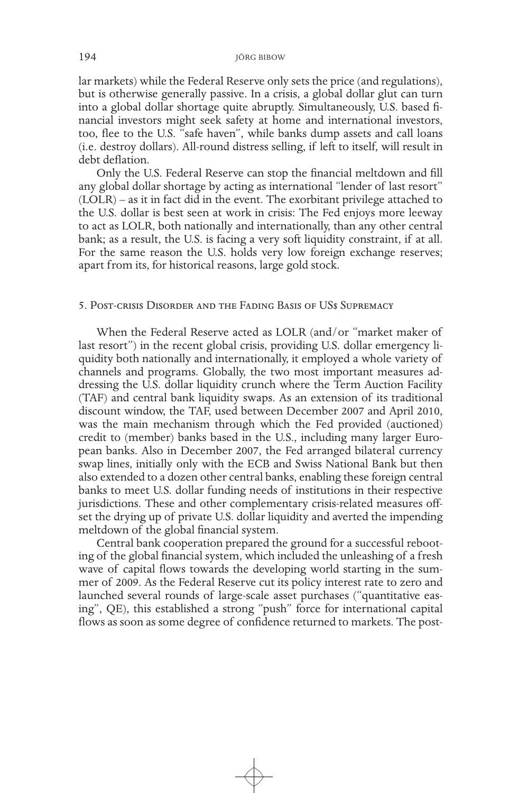lar markets) while the Federal Reserve only sets the price (and regulations), but is otherwise generally passive. In a crisis, a global dollar glut can turn into a global dollar shortage quite abruptly. Simultaneously, U.S. based financial investors might seek safety at home and international investors, too, flee to the U.S. "safe haven", while banks dump assets and call loans (i.e. destroy dollars). All-round distress selling, if left to itself, will result in debt deflation.

Only the U.S. Federal Reserve can stop the financial meltdown and fill any global dollar shortage by acting as international "lender of last resort" (LOLR) – as it in fact did in the event. The exorbitant privilege attached to the U.S. dollar is best seen at work in crisis: The Fed enjoys more leeway to act as LOLR, both nationally and internationally, than any other central bank; as a result, the U.S. is facing a very soft liquidity constraint, if at all. For the same reason the U.S. holds very low foreign exchange reserves; apart from its, for historical reasons, large gold stock.

## 5. Post-crisis Disorder and the Fading Basis of US\$ Supremacy

When the Federal Reserve acted as LOLR (and/or "market maker of last resort") in the recent global crisis, providing U.S. dollar emergency liquidity both nationally and internationally, it employed a whole variety of channels and programs. Globally, the two most important measures addressing the U.S. dollar liquidity crunch where the Term Auction Facility (TAF) and central bank liquidity swaps. As an extension of its traditional discount window, the TAF, used between December 2007 and April 2010, was the main mechanism through which the Fed provided (auctioned) credit to (member) banks based in the U.S., including many larger European banks. Also in December 2007, the Fed arranged bilateral currency swap lines, initially only with the ECB and Swiss National Bank but then also extended to a dozen other central banks, enabling these foreign central banks to meet U.S. dollar funding needs of institutions in their respective jurisdictions. These and other complementary crisis-related measures offset the drying up of private U.S. dollar liquidity and averted the impending meltdown of the global financial system.

Central bank cooperation prepared the ground for a successful rebooting of the global financial system, which included the unleashing of a fresh wave of capital flows towards the developing world starting in the summer of 2009. As the Federal Reserve cut its policy interest rate to zero and launched several rounds of large-scale asset purchases ("quantitative easing", QE), this established a strong "push" force for international capital flows as soon as some degree of confidence returned to markets. The post-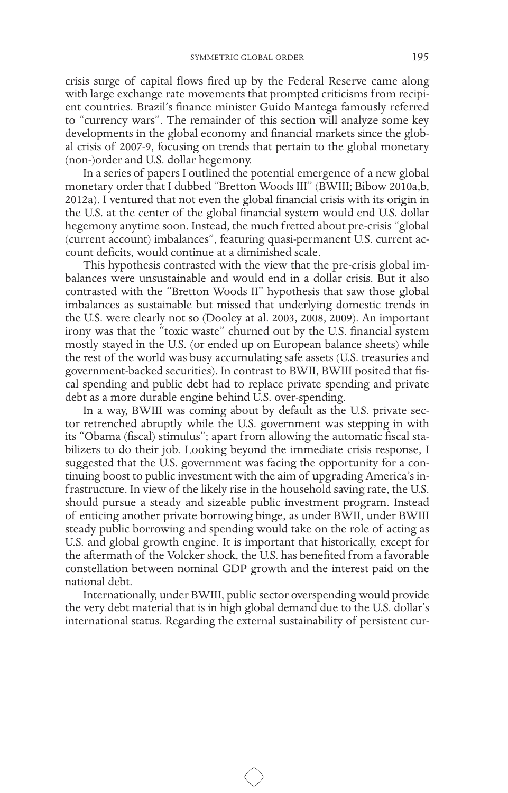crisis surge of capital flows fired up by the Federal Reserve came along with large exchange rate movements that prompted criticisms from recipient countries. Brazil's finance minister Guido Mantega famously referred to "currency wars". The remainder of this section will analyze some key developments in the global economy and financial markets since the global crisis of 2007-9, focusing on trends that pertain to the global monetary (non-)order and U.S. dollar hegemony.

In a series of papers I outlined the potential emergence of a new global monetary order that I dubbed "Bretton Woods III" (BWIII; Bibow 2010a,b, 2012a). I ventured that not even the global financial crisis with its origin in the U.S. at the center of the global financial system would end U.S. dollar hegemony anytime soon. Instead, the much fretted about pre-crisis "global (current account) imbalances", featuring quasi-permanent U.S. current account deficits, would continue at a diminished scale.

This hypothesis contrasted with the view that the pre-crisis global imbalances were unsustainable and would end in a dollar crisis. But it also contrasted with the "Bretton Woods II" hypothesis that saw those global imbalances as sustainable but missed that underlying domestic trends in the U.S. were clearly not so (Dooley at al. 2003, 2008, 2009). An important irony was that the "toxic waste" churned out by the U.S. financial system mostly stayed in the U.S. (or ended up on European balance sheets) while the rest of the world was busy accumulating safe assets (U.S. treasuries and government-backed securities). In contrast to BWII, BWIII posited that fiscal spending and public debt had to replace private spending and private debt as a more durable engine behind U.S. over-spending.

In a way, BWIII was coming about by default as the U.S. private sector retrenched abruptly while the U.S. government was stepping in with its "Obama (fiscal) stimulus"; apart from allowing the automatic fiscal stabilizers to do their job. Looking beyond the immediate crisis response, I suggested that the U.S. government was facing the opportunity for a continuing boost to public investment with the aim of upgrading America's infrastructure. In view of the likely rise in the household saving rate, the U.S. should pursue a steady and sizeable public investment program. Instead of enticing another private borrowing binge, as under BWII, under BWIII steady public borrowing and spending would take on the role of acting as U.S. and global growth engine. It is important that historically, except for the aftermath of the Volcker shock, the U.S. has benefited from a favorable constellation between nominal GDP growth and the interest paid on the national debt.

Internationally, under BWIII, public sector overspending would provide the very debt material that is in high global demand due to the U.S. dollar's international status. Regarding the external sustainability of persistent cur-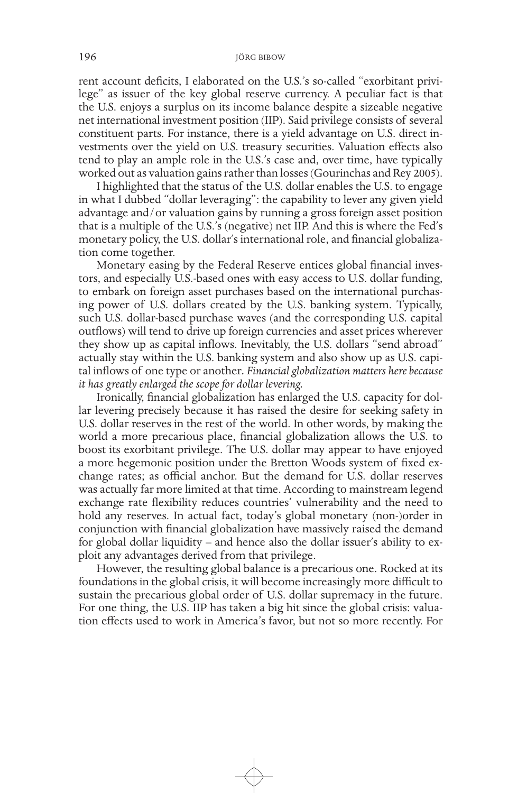rent account deficits, I elaborated on the U.S.'s so-called "exorbitant privilege" as issuer of the key global reserve currency. A peculiar fact is that the U.S. enjoys a surplus on its income balance despite a sizeable negative net international investment position (IIP). Said privilege consists of several constituent parts. For instance, there is a yield advantage on U.S. direct investments over the yield on U.S. treasury securities. Valuation effects also tend to play an ample role in the U.S.'s case and, over time, have typically worked out as valuation gains rather than losses (Gourinchas and Rey 2005).

I highlighted that the status of the U.S. dollar enables the U.S. to engage in what I dubbed "dollar leveraging": the capability to lever any given yield advantage and/or valuation gains by running a gross foreign asset position that is a multiple of the U.S.'s (negative) net IIP. And this is where the Fed's monetary policy, the U.S. dollar's international role, and financial globalization come together.

Monetary easing by the Federal Reserve entices global financial investors, and especially U.S.-based ones with easy access to U.S. dollar funding, to embark on foreign asset purchases based on the international purchasing power of U.S. dollars created by the U.S. banking system. Typically, such U.S. dollar-based purchase waves (and the corresponding U.S. capital outflows) will tend to drive up foreign currencies and asset prices wherever they show up as capital inflows. Inevitably, the U.S. dollars "send abroad" actually stay within the U.S. banking system and also show up as U.S. capital inflows of one type or another*. Financial globalization matters here because it has greatly enlarged the scope for dollar levering.* 

Ironically, financial globalization has enlarged the U.S. capacity for dollar levering precisely because it has raised the desire for seeking safety in U.S. dollar reserves in the rest of the world. In other words, by making the world a more precarious place, financial globalization allows the U.S. to boost its exorbitant privilege. The U.S. dollar may appear to have enjoyed a more hegemonic position under the Bretton Woods system of fixed exchange rates; as official anchor. But the demand for U.S. dollar reserves was actually far more limited at that time. According to mainstream legend exchange rate flexibility reduces countries' vulnerability and the need to hold any reserves. In actual fact, today's global monetary (non-)order in conjunction with financial globalization have massively raised the demand for global dollar liquidity – and hence also the dollar issuer's ability to exploit any advantages derived from that privilege.

However, the resulting global balance is a precarious one. Rocked at its foundations in the global crisis, it will become increasingly more difficult to sustain the precarious global order of U.S. dollar supremacy in the future. For one thing, the U.S. IIP has taken a big hit since the global crisis: valuation effects used to work in America's favor, but not so more recently. For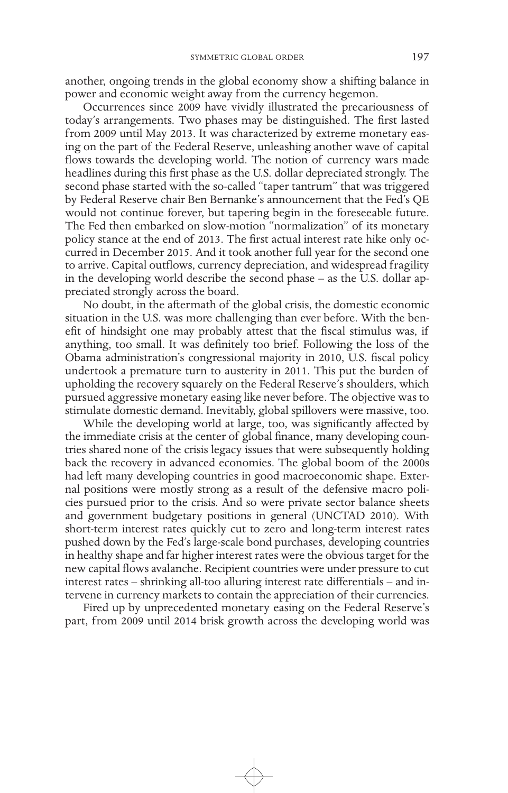another, ongoing trends in the global economy show a shifting balance in power and economic weight away from the currency hegemon.

Occurrences since 2009 have vividly illustrated the precariousness of today's arrangements. Two phases may be distinguished. The first lasted from 2009 until May 2013. It was characterized by extreme monetary easing on the part of the Federal Reserve, unleashing another wave of capital flows towards the developing world. The notion of currency wars made headlines during this first phase as the U.S. dollar depreciated strongly. The second phase started with the so-called "taper tantrum" that was triggered by Federal Reserve chair Ben Bernanke's announcement that the Fed's QE would not continue forever, but tapering begin in the foreseeable future. The Fed then embarked on slow-motion "normalization" of its monetary policy stance at the end of 2013. The first actual interest rate hike only occurred in December 2015. And it took another full year for the second one to arrive. Capital outflows, currency depreciation, and widespread fragility in the developing world describe the second phase – as the U.S. dollar appreciated strongly across the board.

No doubt, in the aftermath of the global crisis, the domestic economic situation in the U.S. was more challenging than ever before. With the benefit of hindsight one may probably attest that the fiscal stimulus was, if anything, too small. It was definitely too brief. Following the loss of the Obama administration's congressional majority in 2010, U.S. fiscal policy undertook a premature turn to austerity in 2011. This put the burden of upholding the recovery squarely on the Federal Reserve's shoulders, which pursued aggressive monetary easing like never before. The objective was to stimulate domestic demand. Inevitably, global spillovers were massive, too.

While the developing world at large, too, was significantly affected by the immediate crisis at the center of global finance, many developing countries shared none of the crisis legacy issues that were subsequently holding back the recovery in advanced economies. The global boom of the 2000s had left many developing countries in good macroeconomic shape. External positions were mostly strong as a result of the defensive macro policies pursued prior to the crisis. And so were private sector balance sheets and government budgetary positions in general (UNCTAD 2010). With short-term interest rates quickly cut to zero and long-term interest rates pushed down by the Fed's large-scale bond purchases, developing countries in healthy shape and far higher interest rates were the obvious target for the new capital flows avalanche. Recipient countries were under pressure to cut interest rates – shrinking all-too alluring interest rate differentials – and intervene in currency markets to contain the appreciation of their currencies.

Fired up by unprecedented monetary easing on the Federal Reserve's part, from 2009 until 2014 brisk growth across the developing world was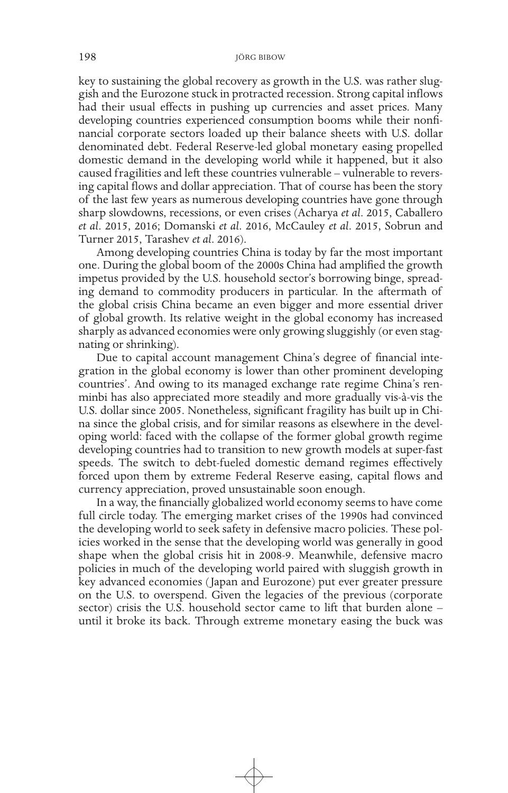key to sustaining the global recovery as growth in the U.S. was rather sluggish and the Eurozone stuck in protracted recession. Strong capital inflows had their usual effects in pushing up currencies and asset prices. Many developing countries experienced consumption booms while their nonfinancial corporate sectors loaded up their balance sheets with U.S. dollar denominated debt. Federal Reserve-led global monetary easing propelled domestic demand in the developing world while it happened, but it also caused fragilities and left these countries vulnerable – vulnerable to reversing capital flows and dollar appreciation. That of course has been the story of the last few years as numerous developing countries have gone through sharp slowdowns, recessions, or even crises (Acharya *et al*. 2015, Caballero *et al*. 2015, 2016; Domanski *et al*. 2016, McCauley *et al*. 2015, Sobrun and Turner 2015, Tarashev *et al*. 2016).

Among developing countries China is today by far the most important one. During the global boom of the 2000s China had amplified the growth impetus provided by the U.S. household sector's borrowing binge, spreading demand to commodity producers in particular. In the aftermath of the global crisis China became an even bigger and more essential driver of global growth. Its relative weight in the global economy has increased sharply as advanced economies were only growing sluggishly (or even stagnating or shrinking).

Due to capital account management China's degree of financial integration in the global economy is lower than other prominent developing countries'. And owing to its managed exchange rate regime China's renminbi has also appreciated more steadily and more gradually vis-à-vis the U.S. dollar since 2005. Nonetheless, significant fragility has built up in China since the global crisis, and for similar reasons as elsewhere in the developing world: faced with the collapse of the former global growth regime developing countries had to transition to new growth models at super-fast speeds. The switch to debt-fueled domestic demand regimes effectively forced upon them by extreme Federal Reserve easing, capital flows and currency appreciation, proved unsustainable soon enough.

In a way, the financially globalized world economy seems to have come full circle today. The emerging market crises of the 1990s had convinced the developing world to seek safety in defensive macro policies. These policies worked in the sense that the developing world was generally in good shape when the global crisis hit in 2008-9. Meanwhile, defensive macro policies in much of the developing world paired with sluggish growth in key advanced economies ( Japan and Eurozone) put ever greater pressure on the U.S. to overspend. Given the legacies of the previous (corporate sector) crisis the U.S. household sector came to lift that burden alone – until it broke its back. Through extreme monetary easing the buck was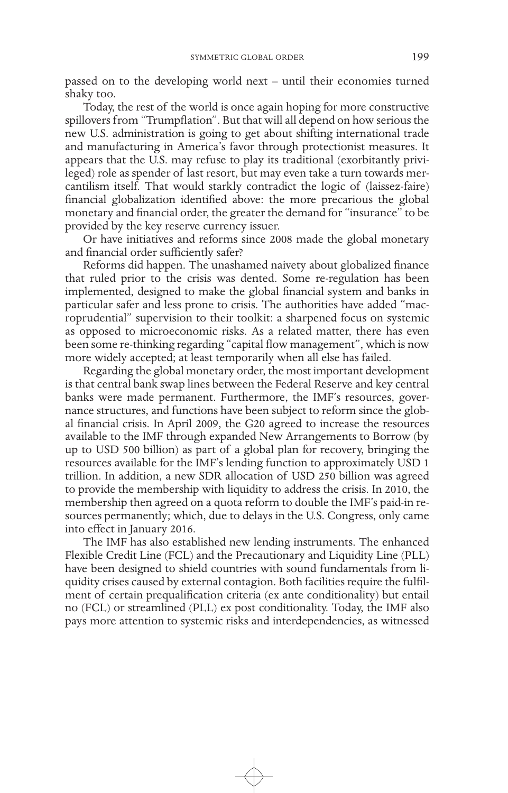passed on to the developing world next – until their economies turned shaky too.

Today, the rest of the world is once again hoping for more constructive spillovers from "Trumpflation". But that will all depend on how serious the new U.S. administration is going to get about shifting international trade and manufacturing in America's favor through protectionist measures. It appears that the U.S. may refuse to play its traditional (exorbitantly privileged) role as spender of last resort, but may even take a turn towards mercantilism itself. That would starkly contradict the logic of (laissez-faire) financial globalization identified above: the more precarious the global monetary and financial order, the greater the demand for "insurance" to be provided by the key reserve currency issuer.

Or have initiatives and reforms since 2008 made the global monetary and financial order sufficiently safer?

Reforms did happen. The unashamed naivety about globalized finance that ruled prior to the crisis was dented. Some re-regulation has been implemented, designed to make the global financial system and banks in particular safer and less prone to crisis. The authorities have added "macroprudential" supervision to their toolkit: a sharpened focus on systemic as opposed to microeconomic risks. As a related matter, there has even been some re-thinking regarding "capital flow management", which is now more widely accepted; at least temporarily when all else has failed.

Regarding the global monetary order, the most important development is that central bank swap lines between the Federal Reserve and key central banks were made permanent. Furthermore, the IMF's resources, governance structures, and functions have been subject to reform since the global financial crisis. In April 2009, the G20 agreed to increase the resources available to the IMF through expanded New Arrangements to Borrow (by up to USD 500 billion) as part of a global plan for recovery, bringing the resources available for the IMF's lending function to approximately USD 1 trillion. In addition, a new SDR allocation of USD 250 billion was agreed to provide the membership with liquidity to address the crisis. In 2010, the membership then agreed on a quota reform to double the IMF's paid-in resources permanently; which, due to delays in the U.S. Congress, only came into effect in January 2016.

The IMF has also established new lending instruments. The enhanced Flexible Credit Line (FCL) and the Precautionary and Liquidity Line (PLL) have been designed to shield countries with sound fundamentals from liquidity crises caused by external contagion. Both facilities require the fulfilment of certain prequalification criteria (ex ante conditionality) but entail no (FCL) or streamlined (PLL) ex post conditionality. Today, the IMF also pays more attention to systemic risks and interdependencies, as witnessed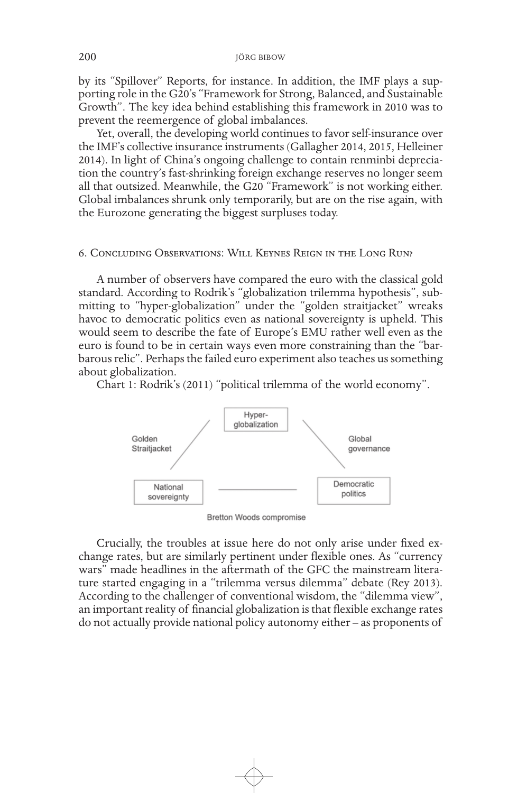by its "Spillover" Reports, for instance. In addition, the IMF plays a supporting role in the G20's "Framework for Strong, Balanced, and Sustainable Growth". The key idea behind establishing this framework in 2010 was to prevent the reemergence of global imbalances.

Yet, overall, the developing world continues to favor self-insurance over the IMF's collective insurance instruments (Gallagher 2014, 2015, Helleiner 2014). In light of China's ongoing challenge to contain renminbi depreciation the country's fast-shrinking foreign exchange reserves no longer seem all that outsized. Meanwhile, the G20 "Framework" is not working either. Global imbalances shrunk only temporarily, but are on the rise again, with the Eurozone generating the biggest surpluses today.

### 6. Concluding Observations: Will Keynes Reign in the Long Run?

A number of observers have compared the euro with the classical gold standard. According to Rodrik's "globalization trilemma hypothesis", submitting to "hyper-globalization" under the "golden straitjacket" wreaks havoc to democratic politics even as national sovereignty is upheld. This would seem to describe the fate of Europe's EMU rather well even as the euro is found to be in certain ways even more constraining than the "barbarous relic". Perhaps the failed euro experiment also teaches us something about globalization.

Chart 1: Rodrik's (2011) "political trilemma of the world economy".



Bretton Woods compromise

Crucially, the troubles at issue here do not only arise under fixed exchange rates, but are similarly pertinent under flexible ones. As "currency wars" made headlines in the aftermath of the GFC the mainstream literature started engaging in a "trilemma versus dilemma" debate (Rey 2013). According to the challenger of conventional wisdom, the "dilemma view", an important reality of financial globalization is that flexible exchange rates do not actually provide national policy autonomy either – as proponents of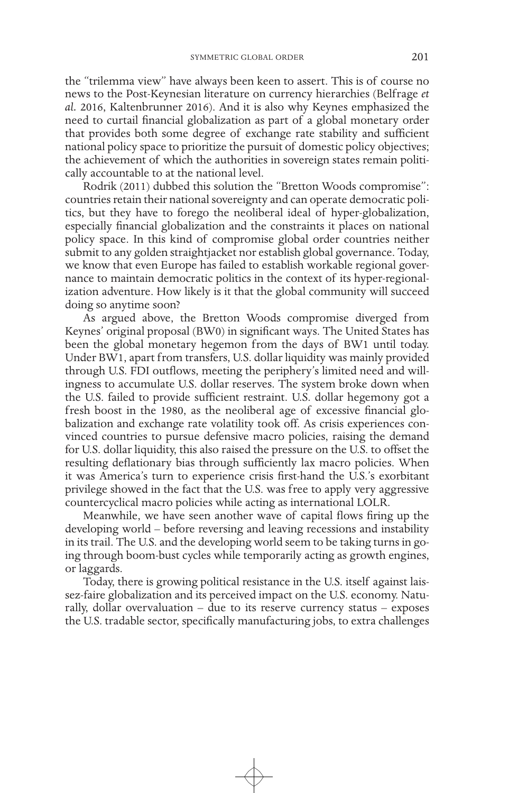the "trilemma view" have always been keen to assert. This is of course no news to the Post-Keynesian literature on currency hierarchies (Belfrage *et al.* 2016, Kaltenbrunner 2016). And it is also why Keynes emphasized the need to curtail financial globalization as part of a global monetary order that provides both some degree of exchange rate stability and sufficient national policy space to prioritize the pursuit of domestic policy objectives; the achievement of which the authorities in sovereign states remain politically accountable to at the national level.

Rodrik (2011) dubbed this solution the "Bretton Woods compromise": countries retain their national sovereignty and can operate democratic politics, but they have to forego the neoliberal ideal of hyper-globalization, especially financial globalization and the constraints it places on national policy space. In this kind of compromise global order countries neither submit to any golden straightjacket nor establish global governance. Today, we know that even Europe has failed to establish workable regional governance to maintain democratic politics in the context of its hyper-regionalization adventure. How likely is it that the global community will succeed doing so anytime soon?

As argued above, the Bretton Woods compromise diverged from Keynes' original proposal (BW0) in significant ways. The United States has been the global monetary hegemon from the days of BW1 until today. Under BW1, apart from transfers, U.S. dollar liquidity was mainly provided through U.S. FDI outflows, meeting the periphery's limited need and willingness to accumulate U.S. dollar reserves. The system broke down when the U.S. failed to provide sufficient restraint. U.S. dollar hegemony got a fresh boost in the 1980, as the neoliberal age of excessive financial globalization and exchange rate volatility took off. As crisis experiences convinced countries to pursue defensive macro policies, raising the demand for U.S. dollar liquidity, this also raised the pressure on the U.S. to offset the resulting deflationary bias through sufficiently lax macro policies. When it was America's turn to experience crisis first-hand the U.S.'s exorbitant privilege showed in the fact that the U.S. was free to apply very aggressive countercyclical macro policies while acting as international LOLR.

Meanwhile, we have seen another wave of capital flows firing up the developing world – before reversing and leaving recessions and instability in its trail. The U.S. and the developing world seem to be taking turns in going through boom-bust cycles while temporarily acting as growth engines, or laggards.

Today, there is growing political resistance in the U.S. itself against laissez-faire globalization and its perceived impact on the U.S. economy. Naturally, dollar overvaluation  $-$  due to its reserve currency status  $-$  exposes the U.S. tradable sector, specifically manufacturing jobs, to extra challenges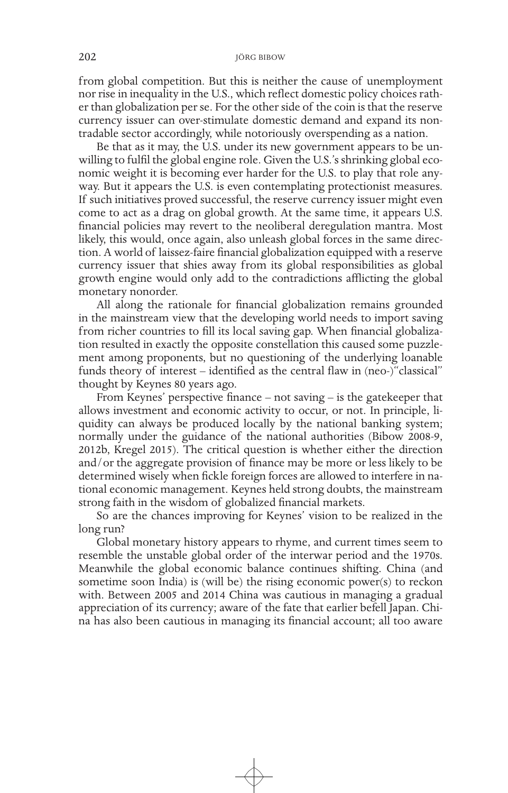from global competition. But this is neither the cause of unemployment nor rise in inequality in the U.S., which reflect domestic policy choices rather than globalization per se. For the other side of the coin is that the reserve currency issuer can over-stimulate domestic demand and expand its nontradable sector accordingly, while notoriously overspending as a nation.

Be that as it may, the U.S. under its new government appears to be unwilling to fulfil the global engine role. Given the U.S.'s shrinking global economic weight it is becoming ever harder for the U.S. to play that role anyway. But it appears the U.S. is even contemplating protectionist measures. If such initiatives proved successful, the reserve currency issuer might even come to act as a drag on global growth. At the same time, it appears U.S. financial policies may revert to the neoliberal deregulation mantra. Most likely, this would, once again, also unleash global forces in the same direction. A world of laissez-faire financial globalization equipped with a reserve currency issuer that shies away from its global responsibilities as global growth engine would only add to the contradictions afflicting the global monetary nonorder.

All along the rationale for financial globalization remains grounded in the mainstream view that the developing world needs to import saving from richer countries to fill its local saving gap. When financial globalization resulted in exactly the opposite constellation this caused some puzzlement among proponents, but no questioning of the underlying loanable funds theory of interest – identified as the central flaw in (neo-)"classical" thought by Keynes 80 years ago.

From Keynes' perspective finance – not saving – is the gatekeeper that allows investment and economic activity to occur, or not. In principle, liquidity can always be produced locally by the national banking system; normally under the guidance of the national authorities (Bibow 2008-9, 2012b, Kregel 2015). The critical question is whether either the direction and/or the aggregate provision of finance may be more or less likely to be determined wisely when fickle foreign forces are allowed to interfere in national economic management. Keynes held strong doubts, the mainstream strong faith in the wisdom of globalized financial markets.

So are the chances improving for Keynes' vision to be realized in the long run?

Global monetary history appears to rhyme, and current times seem to resemble the unstable global order of the interwar period and the 1970s. Meanwhile the global economic balance continues shifting. China (and sometime soon India) is (will be) the rising economic power(s) to reckon with. Between 2005 and 2014 China was cautious in managing a gradual appreciation of its currency; aware of the fate that earlier befell Japan. China has also been cautious in managing its financial account; all too aware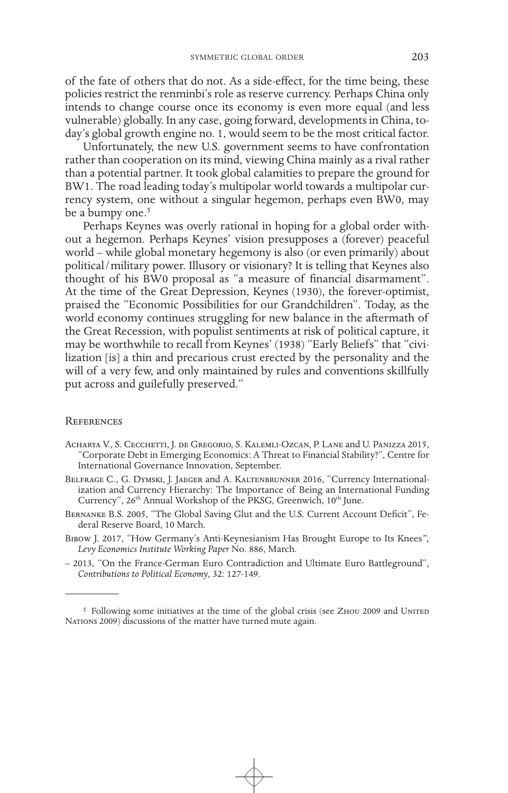of the fate of others that do not. As a side-effect, for the time being, these policies restrict the renminbi's role as reserve currency. Perhaps China only intends to change course once its economy is even more equal (and less vulnerable) globally. In any case, going forward, developments in China, today's global growth engine no. 1, would seem to be the most critical factor.

Unfortunately, the new U.S. government seems to have confrontation rather than cooperation on its mind, viewing China mainly as a rival rather than a potential partner. It took global calamities to prepare the ground for BW1. The road leading today's multipolar world towards a multipolar currency system, one without a singular hegemon, perhaps even BW0, may be a bumpy one.<sup>5</sup>

Perhaps Keynes was overly rational in hoping for a global order without a hegemon. Perhaps Keynes' vision presupposes a (forever) peaceful world – while global monetary hegemony is also (or even primarily) about political/military power. Illusory or visionary? It is telling that Keynes also thought of his BW0 proposal as "a measure of financial disarmament". At the time of the Great Depression, Keynes (1930), the forever-optimist, praised the "Economic Possibilities for our Grandchildren". Today, as the world economy continues struggling for new balance in the aftermath of the Great Recession, with populist sentiments at risk of political capture, it may be worthwhile to recall from Keynes' (1938) "Early Beliefs" that "civilization [is] a thin and precarious crust erected by the personality and the will of a very few, and only maintained by rules and conventions skillfully put across and guilefully preserved."

#### **REFERENCES**

- Acharya V., S. Cecchetti, J. de Gregorio, S. Kalemli-Ozcan, P. Lane and U. Panizza 2015, "Corporate Debt in Emerging Economics: A Threat to Financial Stability?", Centre for International Governance Innovation, September.
- BELFRAGE C., G. DYMSKI, J. JAEGER and A. KALTENBRUNNER 2016, "Currency Internationalization and Currency Hierarchy: The Importance of Being an International Funding Currency", 26<sup>th</sup> Annual Workshop of the PKSG, Greenwich, 10<sup>th</sup> June.
- Bernanke B.S. 2005, "The Global Saving Glut and the U.S. Current Account Deficit", Federal Reserve Board, 10 March.
- Bibow J. 2017, "How Germany's Anti-Keynesianism Has Brought Europe to Its Knees*", Levy Economics Institute Working Paper* No. 886, March.
- 2013, "On the France-German Euro Contradiction and Ultimate Euro Battleground", *Contributions to Political Economy*, 32: 127-149.

<sup>&</sup>lt;sup>5</sup> Following some initiatives at the time of the global crisis (see ZHOU 2009 and UNITED Nations 2009) discussions of the matter have turned mute again.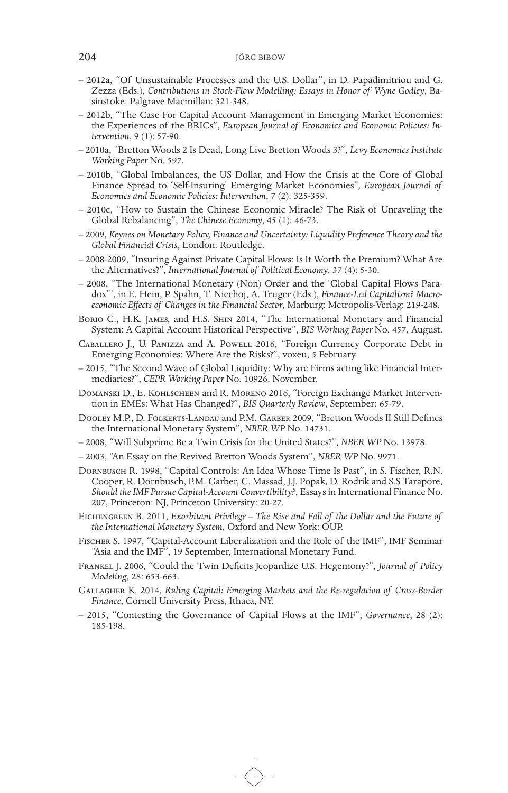- 2012a, "Of Unsustainable Processes and the U.S. Dollar", in D. Papadimitriou and G. Zezza (Eds.), *Contributions in Stock-Flow Modelling: Essays in Honor of Wyne Godley*, Ba- sinstoke: Palgrave Macmillan: 321-348.
- 2012b, "The Case For Capital Account Management in Emerging Market Economies: the Experiences of the BRICs", *European Journal of Economics and Economic Policies: In- tervention*, 9 (1): 57-90.
- 2010a, "Bretton Woods 2 Is Dead, Long Live Bretton Woods 3?", *Levy Economics Institute Working Paper* No. 597.
- 2010b, "Global Imbalances, the US Dollar, and How the Crisis at the Core of Global Finance Spread to 'Self-Insuring' Emerging Market Economies"*, European Journal of Economics and Economic Policies: Intervention*, 7 (2): 325-359.
- 2010c, "How to Sustain the Chinese Economic Miracle? The Risk of Unraveling the Global Rebalancing", *The Chinese Economy*, 45 (1): 46-73.
- 2009, *Keynes on Monetary Policy, Finance and Uncertainty: Liquidity Preference Theory and the Global Financial Crisis*, London: Routledge.
- 2008-2009, "Insuring Against Private Capital Flows: Is It Worth the Premium? What Are the Alternatives?", *International Journal of Political Economy*, 37 (4): 5-30.
- 2008, "The International Monetary (Non) Order and the 'Global Capital Flows Paradox'", in E. Hein, P. Spahn, T. Niechoj, A. Truger (Eds.), *Finance-Led Capitalism? Macroeconomic Effects of Changes in the Financial Sector*, Marburg: Metropolis-Verlag: 219-248.
- Borio C., H.K. James, and H.S. Shin 2014, "The International Monetary and Financial System: A Capital Account Historical Perspective", *BIS Working Paper* No. 457, August.
- Caballero J., U. Panizza and A. Powell 2016, "Foreign Currency Corporate Debt in Emerging Economies: Where Are the Risks?", voxeu, 5 February.
- 2015, "The Second Wave of Global Liquidity: Why are Firms acting like Financial Intermediaries?", *CEPR Working Paper* No. 10926, November.
- Domanski D., E. Kohlscheen and R. Moreno 2016, "Foreign Exchange Market Intervention in EMEs: What Has Changed?", *BIS Quarterly Review*, September: 65-79.
- Dooley M.P., D. Folkerts-Landau and P.M. Garber 2009, "Bretton Woods II Still Defines the International Monetary System", *NBER WP* No. 14731.
- 2008, "Will Subprime Be a Twin Crisis for the United States?", *NBER WP* No. 13978.
- 2003, "An Essay on the Revived Bretton Woods System", *NBER WP* No. 9971.
- Dornbusch R. 1998, "Capital Controls: An Idea Whose Time Is Past", in S. Fischer, R.N. Cooper, R. Dornbusch, P.M. Garber, C. Massad, J.J. Popak, D. Rodrik and S.S Tarapore, *Should the IMF Pursue Capital-Account Convertibility?*, Essays in International Finance No. 207, Princeton: NJ, Princeton University: 20-27.
- Eichengreen B. 2011, *Exorbitant Privilege The Rise and Fall of the Dollar and the Future of the International Monetary System*, Oxford and New York: OUP.
- Fischer S. 1997, "Capital-Account Liberalization and the Role of the IMF", IMF Seminar "Asia and the IMF", 19 September, International Monetary Fund.
- Frankel J. 2006, "Could the Twin Deficits Jeopardize U.S. Hegemony?", *Journal of Policy Modeling*, 28: 653-663.
- Gallagher K. 2014, *Ruling Capital: Emerging Markets and the Re-regulation of Cross-Border Finance*, Cornell University Press, Ithaca, NY.
- 2015, "Contesting the Governance of Capital Flows at the IMF", *Governance*, 28 (2): 185-198.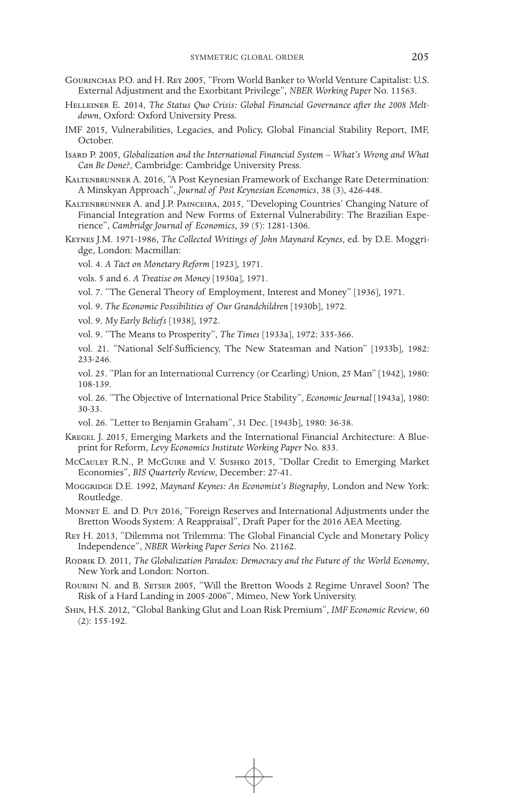- Gourinchas P.O. and H. Rey 2005, "From World Banker to World Venture Capitalist: U.S. External Adjustment and the Exorbitant Privilege"*, NBER Working Paper* No. 11563.
- Helleiner E. 2014, *The Status Quo Crisis: Global Financial Governance after the 2008 Meltdown*, Oxford: Oxford University Press.
- IMF 2015, Vulnerabilities, Legacies, and Policy, Global Financial Stability Report, IMF, October.
- Isard P. 2005, *Globalization and the International Financial System What's Wrong and What Can Be Done?*, Cambridge: Cambridge University Press.
- KALTENBRUNNER A. 2016, "A Post Keynesian Framework of Exchange Rate Determination: A Minskyan Approach", *Journal of Post Keynesian Economics*, 38 (3), 426-448.
- Kaltenbrunner A. and J.P. Painceira, 2015, "Developing Countries' Changing Nature of Financial Integration and New Forms of External Vulnerability: The Brazilian Experience", *Cambridge Journal of Economics*, 39 (5): 1281-1306.
- Keynes J.M. 1971-1986, *The Collected Writings of John Maynard Keynes*, ed. by D.E. Moggridge, London: Macmillan:

vol. 4. *A Tact on Monetary Reform* [1923], 1971.

vols. 5 and 6. *A Treatise on Money* [1930a], 1971.

- vol. 7. "The General Theory of Employment, Interest and Money" [1936], 1971.
- vol. 9. *The Economic Possibilities of Our Grandchildren* [1930b], 1972.

vol. 9. *My Early Beliefs* [1938], 1972.

- vol. 9. "The Means to Prosperity", *The Times* [1933a], 1972: 335-366.
- vol. 21. "National Self-Sufficiency, The New Statesman and Nation" [1933b], 1982: 233-246.

vol. 25. "Plan for an International Currency (or Cearling) Union, 25 Man" [1942], 1980: 108-139.

vol. 26. "The Objective of International Price Stability", *Economic Journal* [1943a], 1980: 30-33.

vol. 26. "Letter to Benjamin Graham", 31 Dec. [1943b], 1980: 36-38.

- KREGEL J. 2015, Emerging Markets and the International Financial Architecture: A Blueprint for Reform, *Levy Economics Institute Working Paper* No. 833.
- McCauley R.N., P. McGuire and V. Sushko 2015, "Dollar Credit to Emerging Market Economies", *BIS Quarterly Review*, December: 27-41.
- Moggridge D.E. 1992, *Maynard Keynes: An Economist's Biography*, London and New York: Routledge.
- Monnet E. and D. Puy 2016, "Foreign Reserves and International Adjustments under the Bretton Woods System: A Reappraisal", Draft Paper for the 2016 AEA Meeting.
- Rey H. 2013, "Dilemma not Trilemma: The Global Financial Cycle and Monetary Policy Independence", *NBER Working Paper Series* No. 21162.
- Rodrik D. 2011, *The Globalization Paradox: Democracy and the Future of the World Economy*, New York and London: Norton.
- Roubini N. and B. Setser 2005, "Will the Bretton Woods 2 Regime Unravel Soon? The Risk of a Hard Landing in 2005-2006", Mimeo, New York University.
- Shin, H.S. 2012, "Global Banking Glut and Loan Risk Premium", *IMF Economic Review*, 60 (2): 155-192.